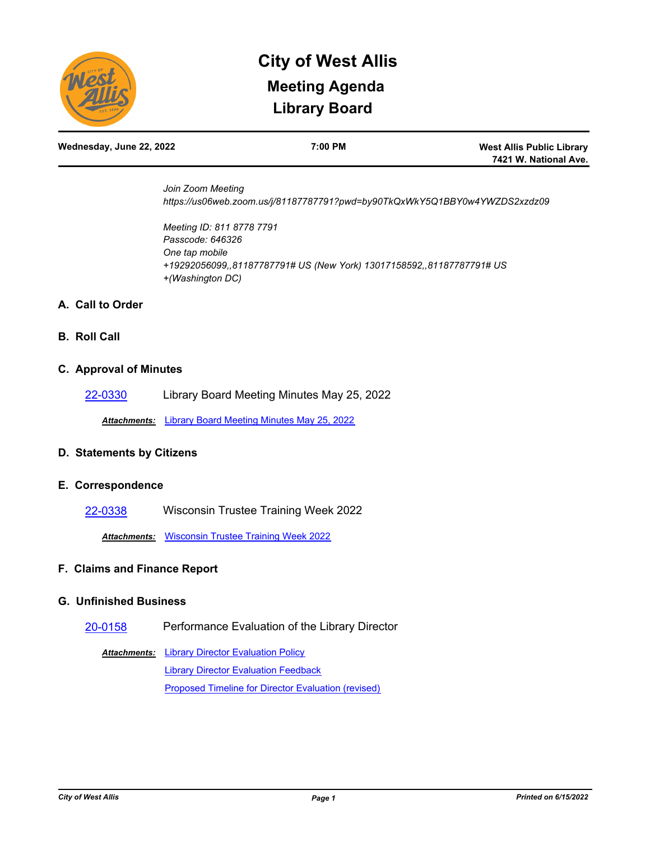

# **Library Board City of West Allis Meeting Agenda**

**West Allis Public Library 7421 W. National Ave.**

*Join Zoom Meeting https://us06web.zoom.us/j/81187787791?pwd=by90TkQxWkY5Q1BBY0w4YWZDS2xzdz09*

*Meeting ID: 811 8778 7791 Passcode: 646326 One tap mobile +19292056099,,81187787791# US (New York) 13017158592,,81187787791# US +(Washington DC)*

## **A. Call to Order**

## **B. Roll Call**

#### **C. Approval of Minutes**

[22-0330](http://westalliswi.legistar.com/gateway.aspx?m=l&id=/matter.aspx?key=28936) Library Board Meeting Minutes May 25, 2022

*Attachments:* [Library Board Meeting Minutes May 25, 2022](http://westalliswi.legistar.com/gateway.aspx?M=F&ID=b1908d95-544b-404b-9fd3-863210c4f716.pdf)

## **D. Statements by Citizens**

## **E. Correspondence**

[22-0338](http://westalliswi.legistar.com/gateway.aspx?m=l&id=/matter.aspx?key=28969) Wisconsin Trustee Training Week 2022

*Attachments:* [Wisconsin Trustee Training Week 2022](http://westalliswi.legistar.com/gateway.aspx?M=F&ID=44828225-7bec-4839-ab62-103d6d7351ae.pdf)

## **F. Claims and Finance Report**

## **G. Unfinished Business**

## [20-0158](http://westalliswi.legistar.com/gateway.aspx?m=l&id=/matter.aspx?key=24330) Performance Evaluation of the Library Director

**Attachments:** [Library Director Evaluation Policy](http://westalliswi.legistar.com/gateway.aspx?M=F&ID=c21b77e5-062f-4d0a-82c5-07c543bbbbda.pdf) [Library Director Evaluation Feedback](http://westalliswi.legistar.com/gateway.aspx?M=F&ID=d8416f2b-7f46-496b-8679-2feac220f6cf.pdf) [Proposed Timeline for Director Evaluation \(revised\)](http://westalliswi.legistar.com/gateway.aspx?M=F&ID=5967893b-9165-4f6a-bbf0-0d6b21b25401.pdf)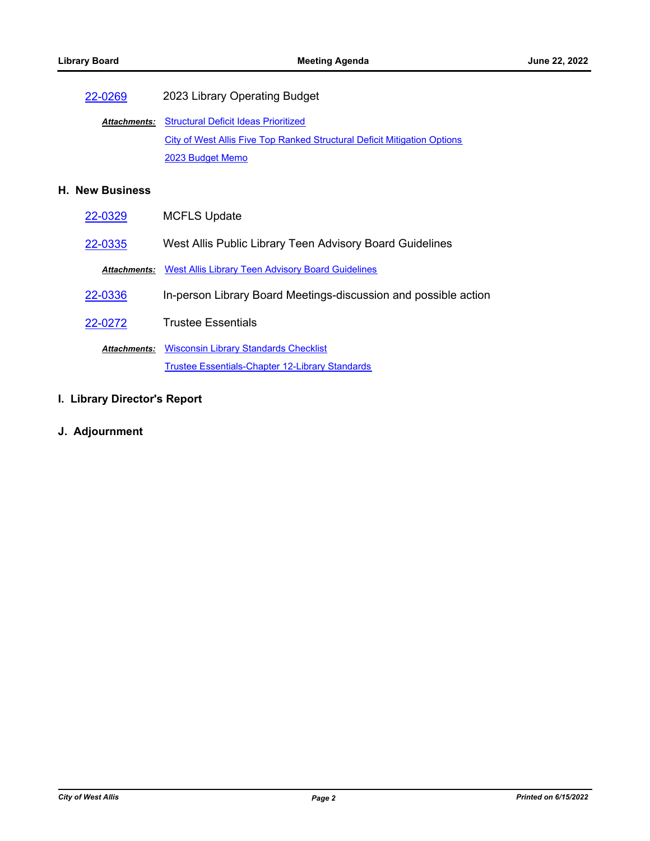# [22-0269](http://westalliswi.legistar.com/gateway.aspx?m=l&id=/matter.aspx?key=28823) 2023 Library Operating Budget

Attachments: [Structural Deficit Ideas Prioritized](http://westalliswi.legistar.com/gateway.aspx?M=F&ID=6f8b16d4-56ba-4d4d-a215-8b00c8337a0d.pdf) [City of West Allis Five Top Ranked Structural Deficit Mitigation Options](http://westalliswi.legistar.com/gateway.aspx?M=F&ID=ce2bb4fe-098e-4ae0-b460-83e4ad045f17.pdf) [2023 Budget Memo](http://westalliswi.legistar.com/gateway.aspx?M=F&ID=ba244acc-099e-4904-8d86-7b6075515780.pdf)

## **H. New Business**

| 22-0329 | <b>MCFLS Update</b>                                                   |
|---------|-----------------------------------------------------------------------|
| 22-0335 | West Allis Public Library Teen Advisory Board Guidelines              |
|         | <b>Attachments:</b> West Allis Library Teen Advisory Board Guidelines |
| 22-0336 | In-person Library Board Meetings-discussion and possible action       |
| 22-0272 | <b>Trustee Essentials</b>                                             |
|         | <b>Attachments:</b> Wisconsin Library Standards Checklist             |
|         | <b>Trustee Essentials-Chapter 12-Library Standards</b>                |

# **I. Library Director's Report**

**J. Adjournment**